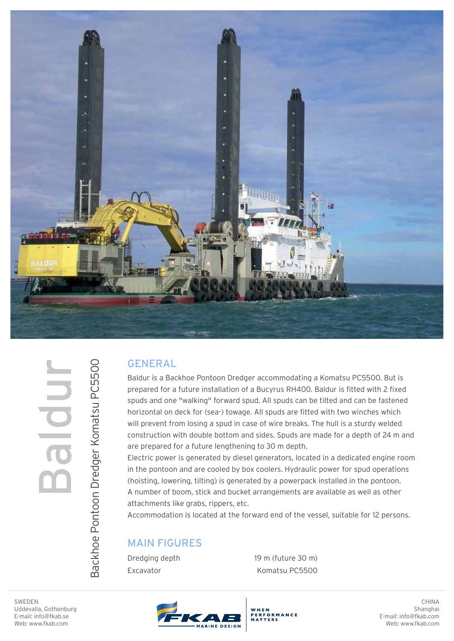

## Baldur

Backhoe Pontoon Dredger Komatsu PC5500

Backhoe Pontoon Dredger Komatsu PC5500

## GENERAL

Baldur is a Backhoe Pontoon Dredger accommodating a Komatsu PC5500. But is prepared for a future installation of a Bucyrus RH400. Baldur is fitted with 2 fixed spuds and one "walking" forward spud. All spuds can be tilted and can be fastened horizontal on deck for (sea-) towage. All spuds are fitted with two winches which will prevent from losing a spud in case of wire breaks. The hull is a sturdy welded construction with double bottom and sides. Spuds are made for a depth of 24 m and are prepared for a future lengthening to 30 m depth.

Electric power is generated by diesel generators, located in a dedicated engine room in the pontoon and are cooled by box coolers. Hydraulic power for spud operations (hoisting, lowering, tilting) is generated by a powerpack installed in the pontoon. A number of boom, stick and bucket arrangements are available as well as other attachments like grabs, rippers, etc.

Accommodation is located at the forward end of the vessel, suitable for 12 persons.

WHEN

.<br>ERFORMANCE<br>IATTERS

## MAIN FIGURES

Dredging depth Excavator

 19 m (future 30 m) Komatsu PC5500



CHINA Shanghai E-mail: info@fkab.com Web: www.fkab.com

SWEDEN Uddevalla, Gothenburg E-mail: info@fkab.se Web: www.fkab.com